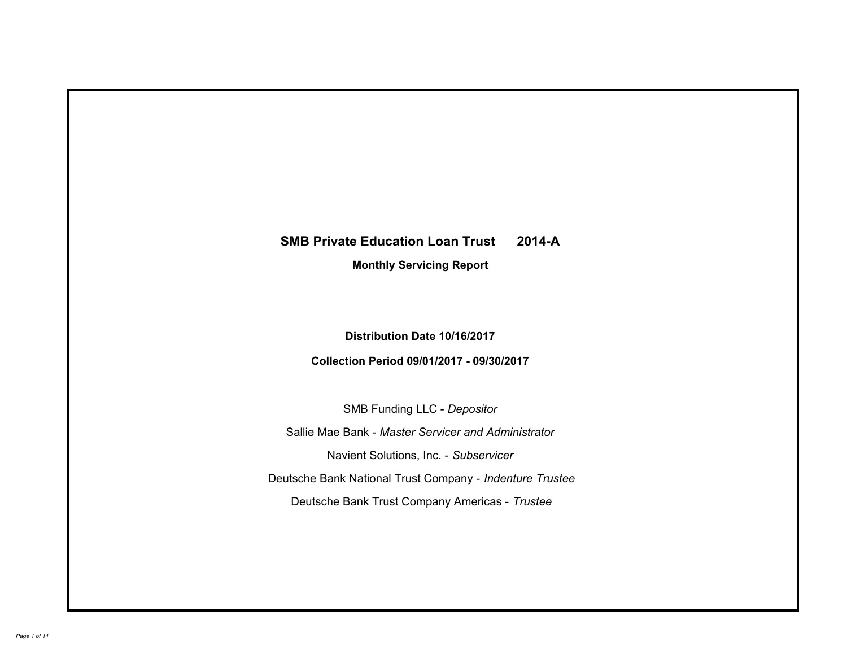# **SMB Private Education Loan Trust 2014-A Monthly Servicing Report**

# **Distribution Date 10/16/2017**

# **Collection Period 09/01/2017 - 09/30/2017**

SMB Funding LLC - *Depositor*

Sallie Mae Bank - *Master Servicer and Administrator*

Navient Solutions, Inc. - *Subservicer*

Deutsche Bank National Trust Company - *Indenture Trustee*

Deutsche Bank Trust Company Americas - *Trustee*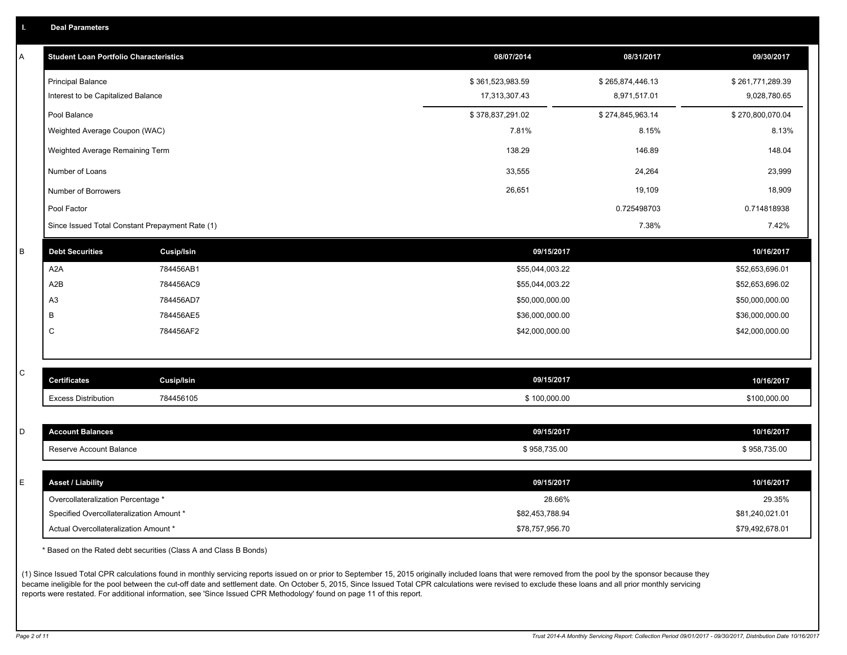|  | <b>Deal Parameters</b> |  |
|--|------------------------|--|
|  |                        |  |

| A | <b>Student Loan Portfolio Characteristics</b>   |                   | 08/07/2014       | 08/31/2017       | 09/30/2017       |
|---|-------------------------------------------------|-------------------|------------------|------------------|------------------|
|   | <b>Principal Balance</b>                        |                   | \$361,523,983.59 | \$265,874,446.13 | \$261,771,289.39 |
|   | Interest to be Capitalized Balance              |                   | 17,313,307.43    | 8,971,517.01     | 9,028,780.65     |
|   | Pool Balance                                    |                   | \$378,837,291.02 | \$274,845,963.14 | \$270,800,070.04 |
|   | Weighted Average Coupon (WAC)                   |                   | 7.81%            | 8.15%            | 8.13%            |
|   | Weighted Average Remaining Term                 |                   | 138.29           | 146.89           | 148.04           |
|   | Number of Loans                                 |                   | 33,555           | 24,264           | 23,999           |
|   | Number of Borrowers                             |                   | 26,651           | 19,109           | 18,909           |
|   | Pool Factor                                     |                   |                  | 0.725498703      | 0.714818938      |
|   | Since Issued Total Constant Prepayment Rate (1) |                   |                  | 7.38%            | 7.42%            |
| B | <b>Debt Securities</b>                          | <b>Cusip/Isin</b> | 09/15/2017       |                  | 10/16/2017       |
|   | A <sub>2</sub> A                                | 784456AB1         | \$55,044,003.22  |                  | \$52,653,696.01  |
|   | A2B                                             | 784456AC9         | \$55,044,003.22  |                  | \$52,653,696.02  |
|   | A <sub>3</sub>                                  | 784456AD7         | \$50,000,000.00  |                  | \$50,000,000.00  |
|   | B                                               | 784456AE5         | \$36,000,000.00  |                  | \$36,000,000.00  |
|   | C                                               | 784456AF2         | \$42,000,000.00  |                  | \$42,000,000.00  |
|   |                                                 |                   |                  |                  |                  |
| C | <b>Certificates</b>                             | <b>Cusip/Isin</b> | 09/15/2017       |                  | 10/16/2017       |
|   | <b>Excess Distribution</b>                      | 784456105         | \$100,000.00     |                  | \$100,000.00     |
|   |                                                 |                   |                  |                  |                  |
| D | <b>Account Balances</b>                         |                   | 09/15/2017       |                  | 10/16/2017       |
|   | Reserve Account Balance                         |                   | \$958,735.00     |                  | \$958,735.00     |
|   |                                                 |                   |                  |                  |                  |
| E | <b>Asset / Liability</b>                        |                   | 09/15/2017       |                  | 10/16/2017       |
|   | Overcollateralization Percentage *              |                   | 28.66%           |                  | 29.35%           |
|   | Specified Overcollateralization Amount *        |                   | \$82,453,788.94  |                  | \$81,240,021.01  |
|   | Actual Overcollateralization Amount *           |                   | \$78,757,956.70  |                  | \$79,492,678.01  |

\* Based on the Rated debt securities (Class A and Class B Bonds)

(1) Since Issued Total CPR calculations found in monthly servicing reports issued on or prior to September 15, 2015 originally included loans that were removed from the pool by the sponsor because they became ineligible for the pool between the cut-off date and settlement date. On October 5, 2015, Since Issued Total CPR calculations were revised to exclude these loans and all prior monthly servicing reports were restated. For additional information, see 'Since Issued CPR Methodology' found on page 11 of this report.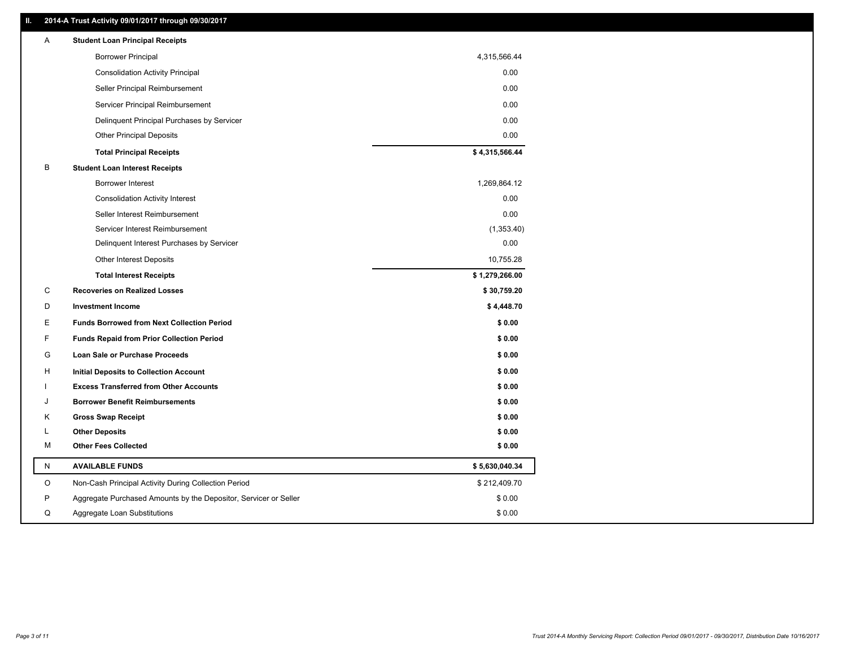### **II. 2014-A Trust Activity 09/01/2017 through 09/30/2017**

| Α | <b>Student Loan Principal Receipts</b>                           |                |
|---|------------------------------------------------------------------|----------------|
|   | <b>Borrower Principal</b>                                        | 4,315,566.44   |
|   | <b>Consolidation Activity Principal</b>                          | 0.00           |
|   | Seller Principal Reimbursement                                   | 0.00           |
|   | Servicer Principal Reimbursement                                 | 0.00           |
|   | Delinquent Principal Purchases by Servicer                       | 0.00           |
|   | <b>Other Principal Deposits</b>                                  | 0.00           |
|   | <b>Total Principal Receipts</b>                                  | \$4,315,566.44 |
| в | <b>Student Loan Interest Receipts</b>                            |                |
|   | <b>Borrower Interest</b>                                         | 1,269,864.12   |
|   | <b>Consolidation Activity Interest</b>                           | 0.00           |
|   | Seller Interest Reimbursement                                    | 0.00           |
|   | Servicer Interest Reimbursement                                  | (1,353.40)     |
|   | Delinquent Interest Purchases by Servicer                        | 0.00           |
|   | Other Interest Deposits                                          | 10,755.28      |
|   | <b>Total Interest Receipts</b>                                   | \$1,279,266.00 |
| С | <b>Recoveries on Realized Losses</b>                             | \$30,759.20    |
| D | <b>Investment Income</b>                                         | \$4,448.70     |
| Е | <b>Funds Borrowed from Next Collection Period</b>                | \$0.00         |
| F | <b>Funds Repaid from Prior Collection Period</b>                 | \$0.00         |
| G | Loan Sale or Purchase Proceeds                                   | \$0.00         |
| н | Initial Deposits to Collection Account                           | \$0.00         |
|   | <b>Excess Transferred from Other Accounts</b>                    | \$0.00         |
| J | <b>Borrower Benefit Reimbursements</b>                           | \$0.00         |
| Κ | <b>Gross Swap Receipt</b>                                        | \$0.00         |
| L | <b>Other Deposits</b>                                            | \$0.00         |
| м | <b>Other Fees Collected</b>                                      | \$0.00         |
| N | <b>AVAILABLE FUNDS</b>                                           | \$5,630,040.34 |
| O | Non-Cash Principal Activity During Collection Period             | \$212,409.70   |
| P | Aggregate Purchased Amounts by the Depositor, Servicer or Seller | \$0.00         |
| Q | Aggregate Loan Substitutions                                     | \$0.00         |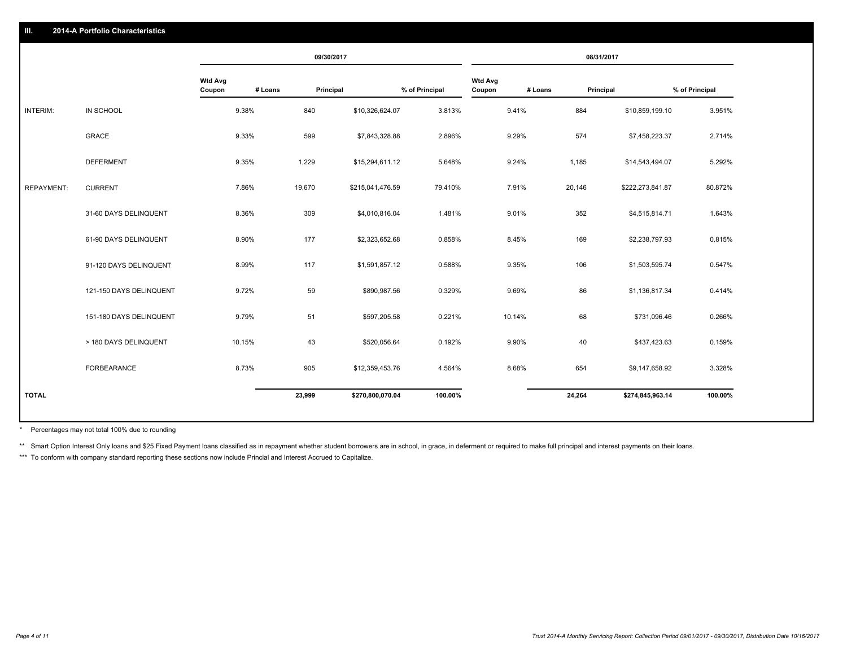#### **III. 2014-A Portfolio Characteristics**

|                   |                         |                          |         | 09/30/2017       |                |                          | 08/31/2017 |           |                  |                |
|-------------------|-------------------------|--------------------------|---------|------------------|----------------|--------------------------|------------|-----------|------------------|----------------|
|                   |                         | <b>Wtd Avg</b><br>Coupon | # Loans | Principal        | % of Principal | <b>Wtd Avg</b><br>Coupon | # Loans    | Principal |                  | % of Principal |
| INTERIM:          | IN SCHOOL               | 9.38%                    | 840     | \$10,326,624.07  | 3.813%         |                          | 9.41%      | 884       | \$10,859,199.10  | 3.951%         |
|                   | <b>GRACE</b>            | 9.33%                    | 599     | \$7,843,328.88   | 2.896%         |                          | 9.29%      | 574       | \$7,458,223.37   | 2.714%         |
|                   | <b>DEFERMENT</b>        | 9.35%                    | 1,229   | \$15,294,611.12  | 5.648%         |                          | 9.24%      | 1,185     | \$14,543,494.07  | 5.292%         |
| <b>REPAYMENT:</b> | <b>CURRENT</b>          | 7.86%                    | 19,670  | \$215,041,476.59 | 79.410%        |                          | 7.91%      | 20,146    | \$222,273,841.87 | 80.872%        |
|                   | 31-60 DAYS DELINQUENT   | 8.36%                    | 309     | \$4,010,816.04   | 1.481%         |                          | 9.01%      | 352       | \$4,515,814.71   | 1.643%         |
|                   | 61-90 DAYS DELINQUENT   | 8.90%                    | 177     | \$2,323,652.68   | 0.858%         |                          | 8.45%      | 169       | \$2,238,797.93   | 0.815%         |
|                   | 91-120 DAYS DELINQUENT  | 8.99%                    | 117     | \$1,591,857.12   | 0.588%         |                          | 9.35%      | 106       | \$1,503,595.74   | 0.547%         |
|                   | 121-150 DAYS DELINQUENT | 9.72%                    | 59      | \$890,987.56     | 0.329%         |                          | 9.69%      | 86        | \$1,136,817.34   | 0.414%         |
|                   | 151-180 DAYS DELINQUENT | 9.79%                    | 51      | \$597,205.58     | 0.221%         | 10.14%                   |            | 68        | \$731,096.46     | 0.266%         |
|                   | > 180 DAYS DELINQUENT   | 10.15%                   | 43      | \$520,056.64     | 0.192%         |                          | 9.90%      | 40        | \$437,423.63     | 0.159%         |
|                   | FORBEARANCE             | 8.73%                    | 905     | \$12,359,453.76  | 4.564%         |                          | 8.68%      | 654       | \$9,147,658.92   | 3.328%         |
| <b>TOTAL</b>      |                         |                          | 23,999  | \$270,800,070.04 | 100.00%        |                          |            | 24,264    | \$274,845,963.14 | 100.00%        |

Percentages may not total 100% due to rounding \*

\*\* Smart Option Interest Only loans and \$25 Fixed Payment loans classified as in repayment whether student borrowers are in school, in grace, in deferment or required to make full principal and interest payments on their l

\*\*\* To conform with company standard reporting these sections now include Princial and Interest Accrued to Capitalize.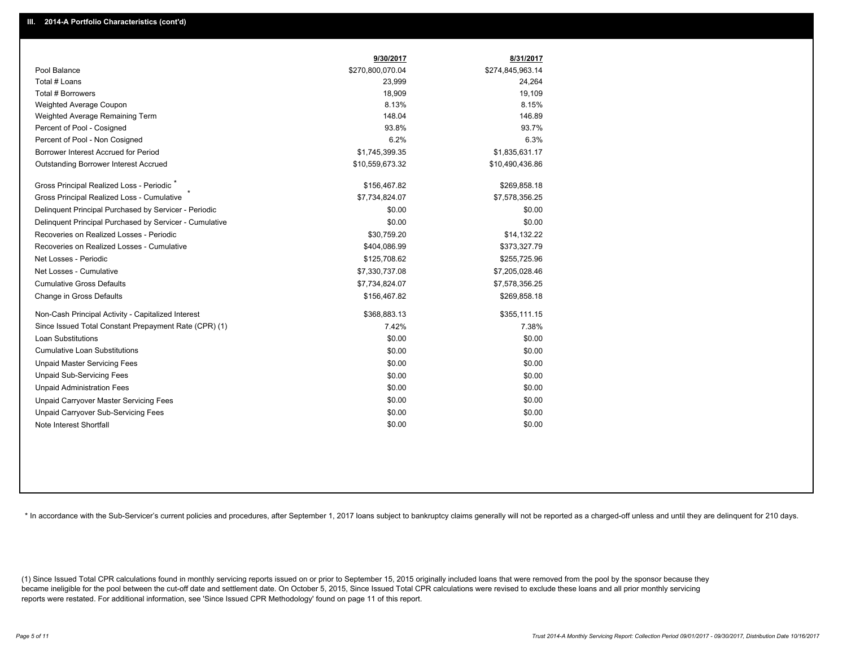|                                                         | 9/30/2017        | 8/31/2017        |
|---------------------------------------------------------|------------------|------------------|
| Pool Balance                                            | \$270,800,070.04 | \$274,845,963.14 |
| Total # Loans                                           | 23,999           | 24,264           |
| Total # Borrowers                                       | 18,909           | 19,109           |
| Weighted Average Coupon                                 | 8.13%            | 8.15%            |
| Weighted Average Remaining Term                         | 148.04           | 146.89           |
| Percent of Pool - Cosigned                              | 93.8%            | 93.7%            |
| Percent of Pool - Non Cosigned                          | 6.2%             | 6.3%             |
| Borrower Interest Accrued for Period                    | \$1,745,399.35   | \$1,835,631.17   |
| <b>Outstanding Borrower Interest Accrued</b>            | \$10,559,673.32  | \$10,490,436.86  |
| Gross Principal Realized Loss - Periodic <sup>*</sup>   | \$156,467.82     | \$269,858.18     |
| Gross Principal Realized Loss - Cumulative              | \$7,734,824.07   | \$7,578,356.25   |
| Delinquent Principal Purchased by Servicer - Periodic   | \$0.00           | \$0.00           |
| Delinquent Principal Purchased by Servicer - Cumulative | \$0.00           | \$0.00           |
| Recoveries on Realized Losses - Periodic                | \$30,759.20      | \$14,132.22      |
| Recoveries on Realized Losses - Cumulative              | \$404,086.99     | \$373,327.79     |
| Net Losses - Periodic                                   | \$125,708.62     | \$255,725.96     |
| Net Losses - Cumulative                                 | \$7,330,737.08   | \$7,205,028.46   |
| <b>Cumulative Gross Defaults</b>                        | \$7,734,824.07   | \$7,578,356.25   |
| Change in Gross Defaults                                | \$156,467.82     | \$269,858.18     |
| Non-Cash Principal Activity - Capitalized Interest      | \$368,883.13     | \$355,111.15     |
| Since Issued Total Constant Prepayment Rate (CPR) (1)   | 7.42%            | 7.38%            |
| Loan Substitutions                                      | \$0.00           | \$0.00           |
| <b>Cumulative Loan Substitutions</b>                    | \$0.00           | \$0.00           |
| <b>Unpaid Master Servicing Fees</b>                     | \$0.00           | \$0.00           |
| <b>Unpaid Sub-Servicing Fees</b>                        | \$0.00           | \$0.00           |
| <b>Unpaid Administration Fees</b>                       | \$0.00           | \$0.00           |
| Unpaid Carryover Master Servicing Fees                  | \$0.00           | \$0.00           |
| Unpaid Carryover Sub-Servicing Fees                     | \$0.00           | \$0.00           |
| Note Interest Shortfall                                 | \$0.00           | \$0.00           |

\* In accordance with the Sub-Servicer's current policies and procedures, after September 1, 2017 loans subject to bankruptcy claims generally will not be reported as a charged-off unless and until they are delinquent for 2

(1) Since Issued Total CPR calculations found in monthly servicing reports issued on or prior to September 15, 2015 originally included loans that were removed from the pool by the sponsor because they became ineligible for the pool between the cut-off date and settlement date. On October 5, 2015, Since Issued Total CPR calculations were revised to exclude these loans and all prior monthly servicing reports were restated. For additional information, see 'Since Issued CPR Methodology' found on page 11 of this report.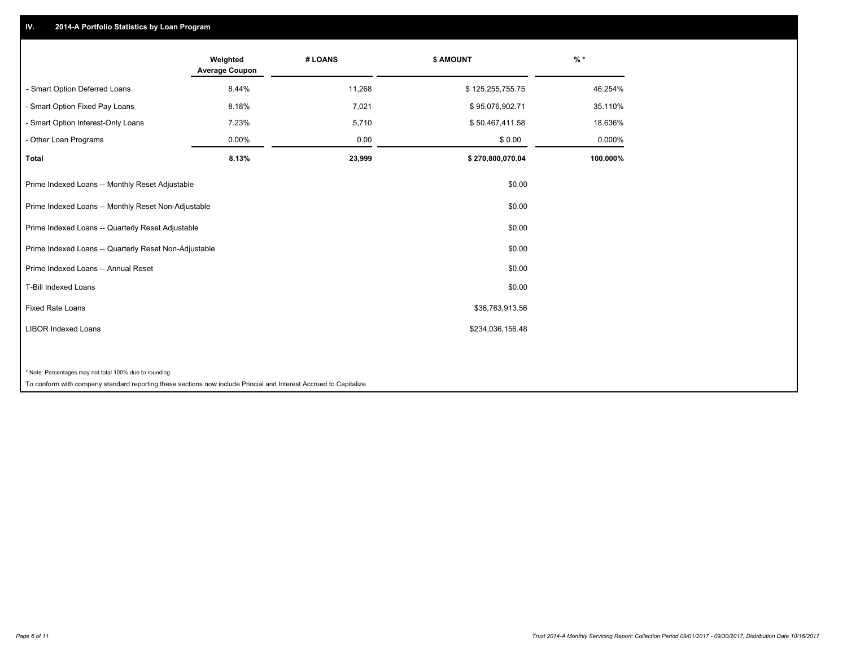## **IV. 2014-A Portfolio Statistics by Loan Program**

|                                                                                                                    | Weighted<br><b>Average Coupon</b> | # LOANS | <b>\$ AMOUNT</b> | $%$ *    |
|--------------------------------------------------------------------------------------------------------------------|-----------------------------------|---------|------------------|----------|
| - Smart Option Deferred Loans                                                                                      | 8.44%                             | 11,268  | \$125,255,755.75 | 46.254%  |
| - Smart Option Fixed Pay Loans                                                                                     | 8.18%                             | 7,021   | \$95,076,902.71  | 35.110%  |
| - Smart Option Interest-Only Loans                                                                                 | 7.23%                             | 5,710   | \$50,467,411.58  | 18.636%  |
| - Other Loan Programs                                                                                              | 0.00%                             | 0.00    | \$0.00           | 0.000%   |
| <b>Total</b>                                                                                                       | 8.13%                             | 23,999  | \$270,800,070.04 | 100.000% |
| Prime Indexed Loans -- Monthly Reset Adjustable                                                                    |                                   |         | \$0.00           |          |
| Prime Indexed Loans -- Monthly Reset Non-Adjustable                                                                |                                   |         | \$0.00           |          |
| Prime Indexed Loans -- Quarterly Reset Adjustable                                                                  |                                   |         | \$0.00           |          |
| Prime Indexed Loans -- Quarterly Reset Non-Adjustable                                                              |                                   |         | \$0.00           |          |
| Prime Indexed Loans -- Annual Reset                                                                                |                                   |         | \$0.00           |          |
| <b>T-Bill Indexed Loans</b>                                                                                        |                                   |         | \$0.00           |          |
| <b>Fixed Rate Loans</b>                                                                                            |                                   |         | \$36,763,913.56  |          |
| <b>LIBOR Indexed Loans</b>                                                                                         |                                   |         | \$234,036,156.48 |          |
|                                                                                                                    |                                   |         |                  |          |
| * Note: Percentages may not total 100% due to rounding                                                             |                                   |         |                  |          |
| To conform with company standard reporting these sections now include Princial and Interest Accrued to Capitalize. |                                   |         |                  |          |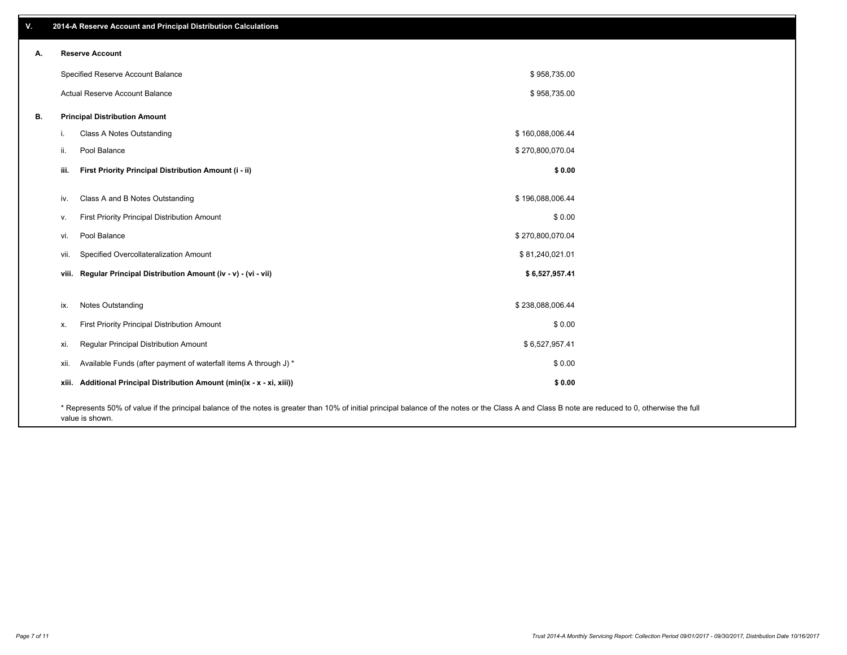| V. |       | 2014-A Reserve Account and Principal Distribution Calculations                                                                                                                                                        |                  |  |
|----|-------|-----------------------------------------------------------------------------------------------------------------------------------------------------------------------------------------------------------------------|------------------|--|
| А. |       | <b>Reserve Account</b>                                                                                                                                                                                                |                  |  |
|    |       | Specified Reserve Account Balance                                                                                                                                                                                     | \$958,735.00     |  |
|    |       | Actual Reserve Account Balance                                                                                                                                                                                        | \$958,735.00     |  |
| В. |       | <b>Principal Distribution Amount</b>                                                                                                                                                                                  |                  |  |
|    | т.    | <b>Class A Notes Outstanding</b>                                                                                                                                                                                      | \$160,088,006.44 |  |
|    | ii.   | Pool Balance                                                                                                                                                                                                          | \$270,800,070.04 |  |
|    | iii.  | First Priority Principal Distribution Amount (i - ii)                                                                                                                                                                 | \$0.00           |  |
|    |       |                                                                                                                                                                                                                       |                  |  |
|    | iv.   | Class A and B Notes Outstanding                                                                                                                                                                                       | \$196,088,006.44 |  |
|    | v.    | First Priority Principal Distribution Amount                                                                                                                                                                          | \$0.00           |  |
|    | vi.   | Pool Balance                                                                                                                                                                                                          | \$270,800,070.04 |  |
|    | vii.  | Specified Overcollateralization Amount                                                                                                                                                                                | \$81,240,021.01  |  |
|    |       | viii. Regular Principal Distribution Amount (iv - v) - (vi - vii)                                                                                                                                                     | \$6,527,957.41   |  |
|    |       |                                                                                                                                                                                                                       |                  |  |
|    | ix.   | Notes Outstanding                                                                                                                                                                                                     | \$238,088,006.44 |  |
|    | Х.    | First Priority Principal Distribution Amount                                                                                                                                                                          | \$0.00           |  |
|    | xi.   | Regular Principal Distribution Amount                                                                                                                                                                                 | \$6,527,957.41   |  |
|    | xii.  | Available Funds (after payment of waterfall items A through J) *                                                                                                                                                      | \$0.00           |  |
|    | xiii. | Additional Principal Distribution Amount (min(ix - x - xi, xiii))                                                                                                                                                     | \$0.00           |  |
|    |       | * Represents 50% of value if the principal balance of the notes is greater than 10% of initial principal balance of the notes or the Class A and Class B note are reduced to 0, otherwise the full<br>value is shown. |                  |  |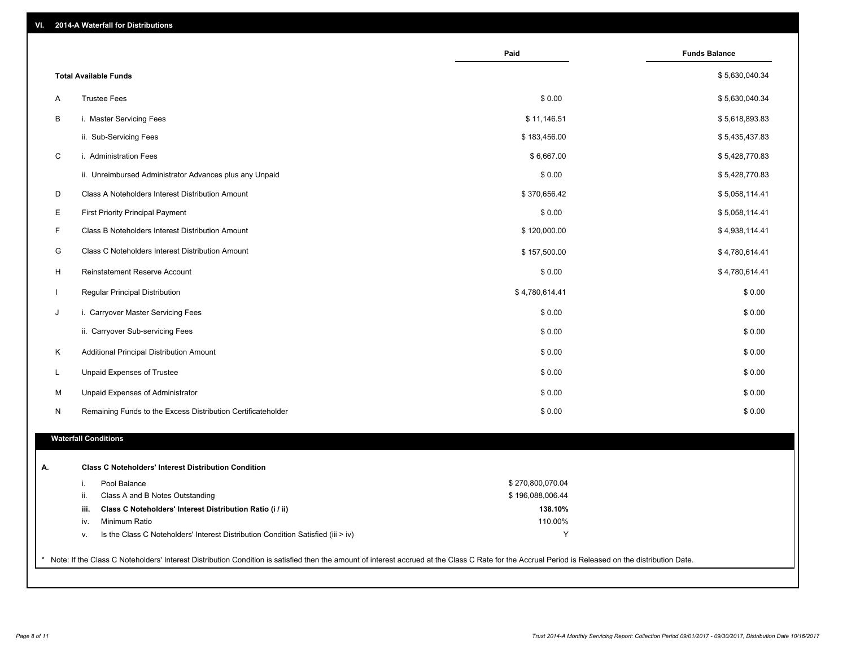| VI.<br>2014-A Waterfall for Distributions |  |
|-------------------------------------------|--|
|-------------------------------------------|--|

|   |                                                                                        | Paid             | <b>Funds Balance</b> |
|---|----------------------------------------------------------------------------------------|------------------|----------------------|
|   | <b>Total Available Funds</b>                                                           |                  | \$5,630,040.34       |
| A | <b>Trustee Fees</b>                                                                    | \$0.00           | \$5,630,040.34       |
| B | i. Master Servicing Fees                                                               | \$11,146.51      | \$5,618,893.83       |
|   | ii. Sub-Servicing Fees                                                                 | \$183,456.00     | \$5,435,437.83       |
| C | i. Administration Fees                                                                 | \$6,667.00       | \$5,428,770.83       |
|   | ii. Unreimbursed Administrator Advances plus any Unpaid                                | \$0.00           | \$5,428,770.83       |
| D | Class A Noteholders Interest Distribution Amount                                       | \$370,656.42     | \$5,058,114.41       |
| E | <b>First Priority Principal Payment</b>                                                | \$0.00           | \$5,058,114.41       |
| F | Class B Noteholders Interest Distribution Amount                                       | \$120,000.00     | \$4,938,114.41       |
|   |                                                                                        |                  |                      |
| G | Class C Noteholders Interest Distribution Amount                                       | \$157,500.00     | \$4,780,614.41       |
| H | <b>Reinstatement Reserve Account</b>                                                   | \$0.00           | \$4,780,614.41       |
|   | Regular Principal Distribution                                                         | \$4,780,614.41   | \$0.00               |
| J | i. Carryover Master Servicing Fees                                                     | \$0.00           | \$0.00               |
|   | ii. Carryover Sub-servicing Fees                                                       | \$0.00           | \$0.00               |
| K | Additional Principal Distribution Amount                                               | \$0.00           | \$0.00               |
| L | Unpaid Expenses of Trustee                                                             | \$0.00           | \$0.00               |
| м | Unpaid Expenses of Administrator                                                       | \$0.00           | \$0.00               |
| N | Remaining Funds to the Excess Distribution Certificateholder                           | \$0.00           | \$0.00               |
|   | <b>Waterfall Conditions</b>                                                            |                  |                      |
|   | <b>Class C Noteholders' Interest Distribution Condition</b>                            |                  |                      |
|   | Pool Balance<br>i.                                                                     | \$270,800,070.04 |                      |
|   | ii.<br>Class A and B Notes Outstanding                                                 | \$196,088,006.44 |                      |
|   | iii.<br>Class C Noteholders' Interest Distribution Ratio (i / ii)                      | 138.10%          |                      |
|   | Minimum Ratio<br>iv.                                                                   | 110.00%          |                      |
|   | Is the Class C Noteholders' Interest Distribution Condition Satisfied (iii > iv)<br>ν. | Y                |                      |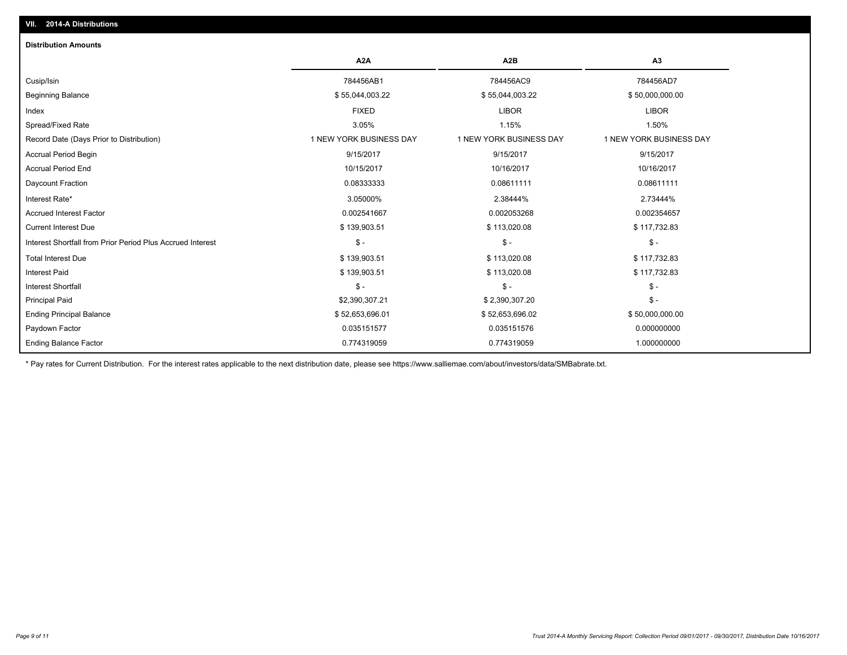| <b>Distribution Amounts</b>                                |                         |                         |                         |
|------------------------------------------------------------|-------------------------|-------------------------|-------------------------|
|                                                            | A <sub>2</sub> A        | A <sub>2</sub> B        | A <sub>3</sub>          |
| Cusip/Isin                                                 | 784456AB1               | 784456AC9               | 784456AD7               |
| <b>Beginning Balance</b>                                   | \$55,044,003.22         | \$55,044,003.22         | \$50,000,000.00         |
| Index                                                      | <b>FIXED</b>            | <b>LIBOR</b>            | <b>LIBOR</b>            |
| Spread/Fixed Rate                                          | 3.05%                   | 1.15%                   | 1.50%                   |
| Record Date (Days Prior to Distribution)                   | 1 NEW YORK BUSINESS DAY | 1 NEW YORK BUSINESS DAY | 1 NEW YORK BUSINESS DAY |
| <b>Accrual Period Begin</b>                                | 9/15/2017               | 9/15/2017               | 9/15/2017               |
| <b>Accrual Period End</b>                                  | 10/15/2017              | 10/16/2017              | 10/16/2017              |
| Daycount Fraction                                          | 0.08333333              | 0.08611111              | 0.08611111              |
| Interest Rate*                                             | 3.05000%                | 2.38444%                | 2.73444%                |
| <b>Accrued Interest Factor</b>                             | 0.002541667             | 0.002053268             | 0.002354657             |
| <b>Current Interest Due</b>                                | \$139,903.51            | \$113,020.08            | \$117,732.83            |
| Interest Shortfall from Prior Period Plus Accrued Interest | $$ -$                   | $\mathsf{\$}$ -         | $$ -$                   |
| <b>Total Interest Due</b>                                  | \$139,903.51            | \$113,020.08            | \$117,732.83            |
| <b>Interest Paid</b>                                       | \$139,903.51            | \$113,020.08            | \$117,732.83            |
| <b>Interest Shortfall</b>                                  | $$ -$                   | $$ -$                   | $$ -$                   |
| <b>Principal Paid</b>                                      | \$2,390,307.21          | \$2,390,307.20          | $$ -$                   |
| <b>Ending Principal Balance</b>                            | \$52,653,696.01         | \$52,653,696.02         | \$50,000,000.00         |
| Paydown Factor                                             | 0.035151577             | 0.035151576             | 0.000000000             |
| <b>Ending Balance Factor</b>                               | 0.774319059             | 0.774319059             | 1.000000000             |

\* Pay rates for Current Distribution. For the interest rates applicable to the next distribution date, please see https://www.salliemae.com/about/investors/data/SMBabrate.txt.

**VII. 2014-A Distributions**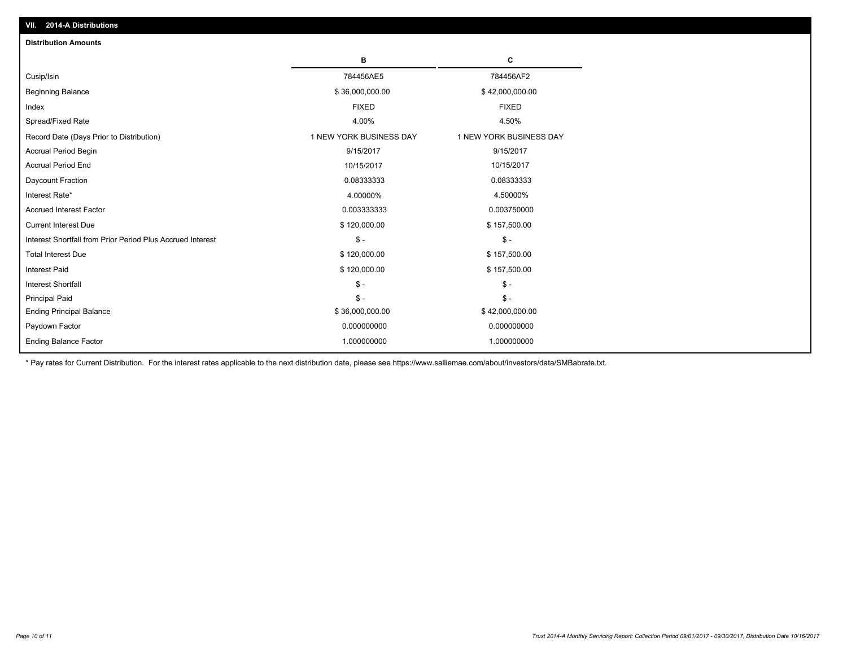| <b>Distribution Amounts</b>                                |                         |                         |
|------------------------------------------------------------|-------------------------|-------------------------|
|                                                            | в                       | C                       |
| Cusip/Isin                                                 | 784456AE5               | 784456AF2               |
| <b>Beginning Balance</b>                                   | \$36,000,000.00         | \$42,000,000.00         |
| Index                                                      | <b>FIXED</b>            | <b>FIXED</b>            |
| Spread/Fixed Rate                                          | 4.00%                   | 4.50%                   |
| Record Date (Days Prior to Distribution)                   | 1 NEW YORK BUSINESS DAY | 1 NEW YORK BUSINESS DAY |
| <b>Accrual Period Begin</b>                                | 9/15/2017               | 9/15/2017               |
| <b>Accrual Period End</b>                                  | 10/15/2017              | 10/15/2017              |
| Daycount Fraction                                          | 0.08333333              | 0.08333333              |
| Interest Rate*                                             | 4.00000%                | 4.50000%                |
| <b>Accrued Interest Factor</b>                             | 0.003333333             | 0.003750000             |
| <b>Current Interest Due</b>                                | \$120,000.00            | \$157,500.00            |
| Interest Shortfall from Prior Period Plus Accrued Interest | $\mathsf{\$}$ -         | $\mathsf{\$}$ -         |
| <b>Total Interest Due</b>                                  | \$120,000.00            | \$157,500.00            |
| Interest Paid                                              | \$120,000.00            | \$157,500.00            |
| <b>Interest Shortfall</b>                                  | $\mathcal{S}$ -         | $\mathsf{\$}$ -         |
| <b>Principal Paid</b>                                      | $\mathsf{\$}$ -         | $\mathsf{\$}$ -         |
| <b>Ending Principal Balance</b>                            | \$36,000,000.00         | \$42,000,000.00         |
| Paydown Factor                                             | 0.000000000             | 0.000000000             |
| <b>Ending Balance Factor</b>                               | 1.000000000             | 1.000000000             |

\* Pay rates for Current Distribution. For the interest rates applicable to the next distribution date, please see https://www.salliemae.com/about/investors/data/SMBabrate.txt.

**VII. 2014-A Distributions**